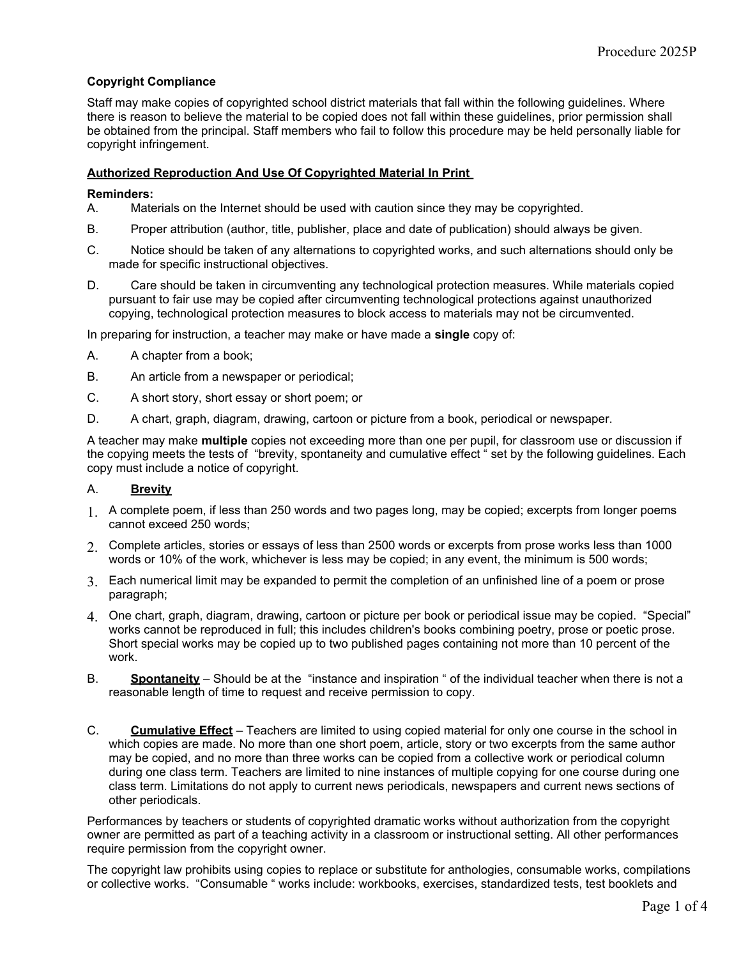## **Copyright Compliance**

Staff may make copies of copyrighted school district materials that fall within the following guidelines. Where there is reason to believe the material to be copied does not fall within these guidelines, prior permission shall be obtained from the principal. Staff members who fail to follow this procedure may be held personally liable for copyright infringement.

### **Authorized Reproduction And Use Of Copyrighted Material In Print**

### **Reminders:**

- A. Materials on the Internet should be used with caution since they may be copyrighted.
- B. Proper attribution (author, title, publisher, place and date of publication) should always be given.
- C. Notice should be taken of any alternations to copyrighted works, and such alternations should only be made for specific instructional objectives.
- D. Care should be taken in circumventing any technological protection measures. While materials copied pursuant to fair use may be copied after circumventing technological protections against unauthorized copying, technological protection measures to block access to materials may not be circumvented.

In preparing for instruction, a teacher may make or have made a **single** copy of:

- A. A chapter from a book;
- B. An article from a newspaper or periodical;
- C. A short story, short essay or short poem; or
- D. A chart, graph, diagram, drawing, cartoon or picture from a book, periodical or newspaper.

A teacher may make **multiple** copies not exceeding more than one per pupil, for classroom use or discussion if the copying meets the tests of "brevity, spontaneity and cumulative effect " set by the following guidelines. Each copy must include a notice of copyright.

#### A. **Brevity**

- 1. A complete poem, if less than 250 words and two pages long, may be copied; excerpts from longer poems cannot exceed 250 words;
- 2. Complete articles, stories or essays of less than 2500 words or excerpts from prose works less than 1000 words or 10% of the work, whichever is less may be copied; in any event, the minimum is 500 words;
- 3. Each numerical limit may be expanded to permit the completion of an unfinished line of a poem or prose paragraph;
- 4. One chart, graph, diagram, drawing, cartoon or picture per book or periodical issue may be copied. "Special" works cannot be reproduced in full; this includes children's books combining poetry, prose or poetic prose. Short special works may be copied up to two published pages containing not more than 10 percent of the work.
- B. **Spontaneity** Should be at the "instance and inspiration " of the individual teacher when there is not a reasonable length of time to request and receive permission to copy.
- C. **Cumulative Effect** Teachers are limited to using copied material for only one course in the school in which copies are made. No more than one short poem, article, story or two excerpts from the same author may be copied, and no more than three works can be copied from a collective work or periodical column during one class term. Teachers are limited to nine instances of multiple copying for one course during one class term. Limitations do not apply to current news periodicals, newspapers and current news sections of other periodicals.

Performances by teachers or students of copyrighted dramatic works without authorization from the copyright owner are permitted as part of a teaching activity in a classroom or instructional setting. All other performances require permission from the copyright owner.

The copyright law prohibits using copies to replace or substitute for anthologies, consumable works, compilations or collective works. "Consumable " works include: workbooks, exercises, standardized tests, test booklets and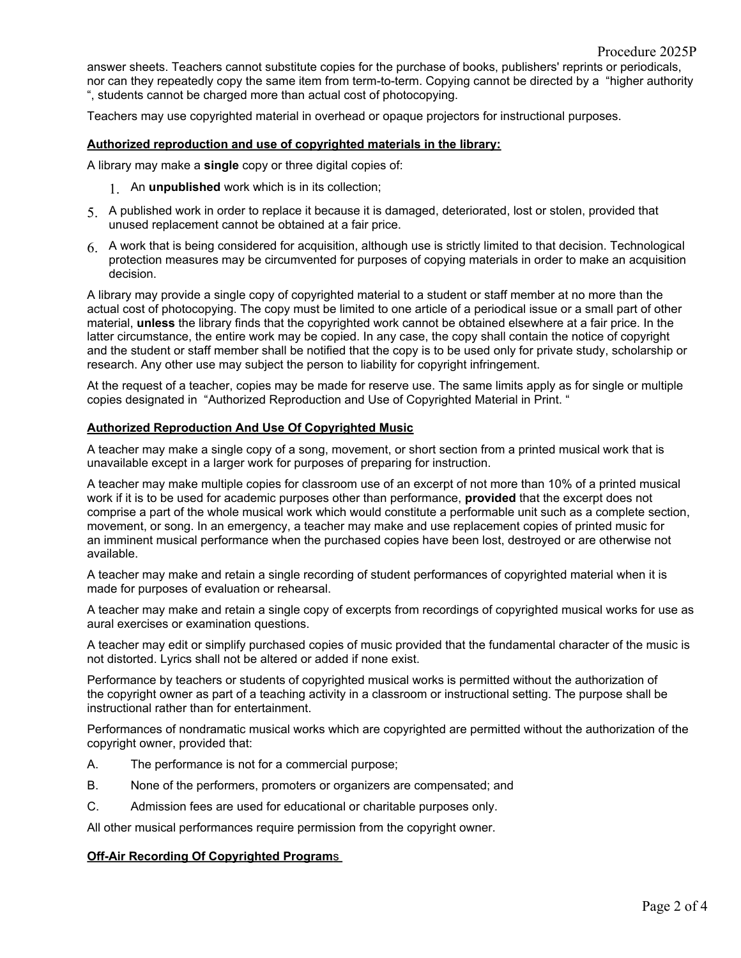answer sheets. Teachers cannot substitute copies for the purchase of books, publishers' reprints or periodicals, nor can they repeatedly copy the same item from term-to-term. Copying cannot be directed by a "higher authority ", students cannot be charged more than actual cost of photocopying.

Teachers may use copyrighted material in overhead or opaque projectors for instructional purposes.

#### **Authorized reproduction and use of copyrighted materials in the library:**

A library may make a **single** copy or three digital copies of:

- 1. An **unpublished** work which is in its collection;
- 5. A published work in order to replace it because it is damaged, deteriorated, lost or stolen, provided that unused replacement cannot be obtained at a fair price.
- 6. A work that is being considered for acquisition, although use is strictly limited to that decision. Technological protection measures may be circumvented for purposes of copying materials in order to make an acquisition decision.

A library may provide a single copy of copyrighted material to a student or staff member at no more than the actual cost of photocopying. The copy must be limited to one article of a periodical issue or a small part of other material, **unless** the library finds that the copyrighted work cannot be obtained elsewhere at a fair price. In the latter circumstance, the entire work may be copied. In any case, the copy shall contain the notice of copyright and the student or staff member shall be notified that the copy is to be used only for private study, scholarship or research. Any other use may subject the person to liability for copyright infringement.

At the request of a teacher, copies may be made for reserve use. The same limits apply as for single or multiple copies designated in "Authorized Reproduction and Use of Copyrighted Material in Print. "

#### **Authorized Reproduction And Use Of Copyrighted Music**

A teacher may make a single copy of a song, movement, or short section from a printed musical work that is unavailable except in a larger work for purposes of preparing for instruction.

A teacher may make multiple copies for classroom use of an excerpt of not more than 10% of a printed musical work if it is to be used for academic purposes other than performance, **provided** that the excerpt does not comprise a part of the whole musical work which would constitute a performable unit such as a complete section, movement, or song. In an emergency, a teacher may make and use replacement copies of printed music for an imminent musical performance when the purchased copies have been lost, destroyed or are otherwise not available.

A teacher may make and retain a single recording of student performances of copyrighted material when it is made for purposes of evaluation or rehearsal.

A teacher may make and retain a single copy of excerpts from recordings of copyrighted musical works for use as aural exercises or examination questions.

A teacher may edit or simplify purchased copies of music provided that the fundamental character of the music is not distorted. Lyrics shall not be altered or added if none exist.

Performance by teachers or students of copyrighted musical works is permitted without the authorization of the copyright owner as part of a teaching activity in a classroom or instructional setting. The purpose shall be instructional rather than for entertainment.

Performances of nondramatic musical works which are copyrighted are permitted without the authorization of the copyright owner, provided that:

- A. The performance is not for a commercial purpose;
- B. None of the performers, promoters or organizers are compensated; and
- C. Admission fees are used for educational or charitable purposes only.

All other musical performances require permission from the copyright owner.

#### **Off-Air Recording Of Copyrighted Program**s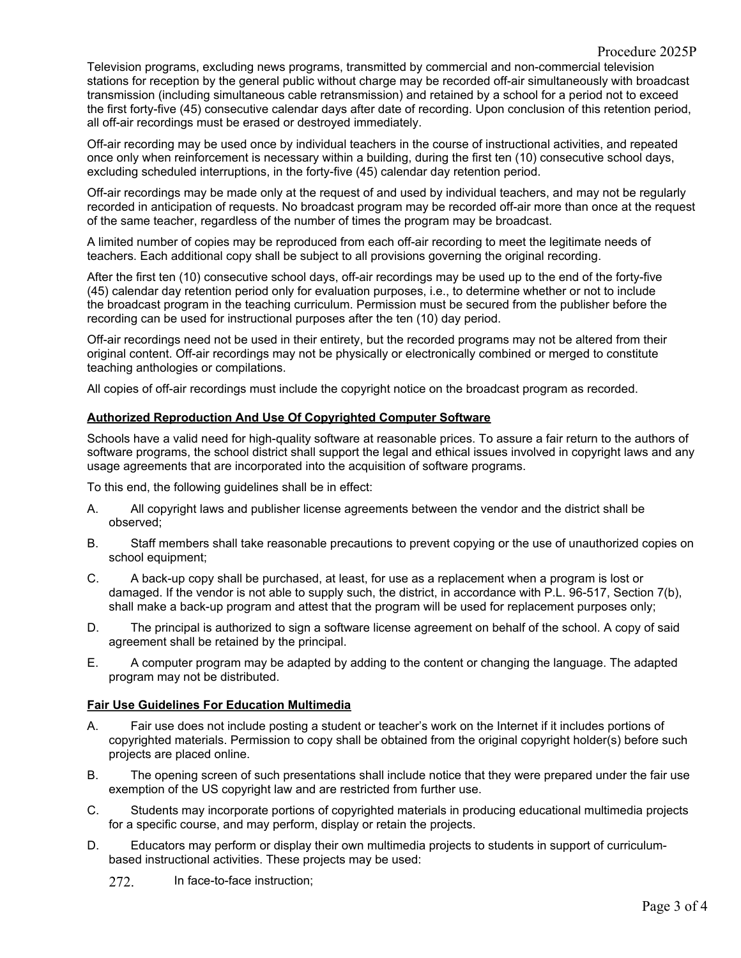Television programs, excluding news programs, transmitted by commercial and non-commercial television stations for reception by the general public without charge may be recorded off-air simultaneously with broadcast transmission (including simultaneous cable retransmission) and retained by a school for a period not to exceed the first forty-five (45) consecutive calendar days after date of recording. Upon conclusion of this retention period, all off-air recordings must be erased or destroyed immediately.

Off-air recording may be used once by individual teachers in the course of instructional activities, and repeated once only when reinforcement is necessary within a building, during the first ten (10) consecutive school days, excluding scheduled interruptions, in the forty-five (45) calendar day retention period.

Off-air recordings may be made only at the request of and used by individual teachers, and may not be regularly recorded in anticipation of requests. No broadcast program may be recorded off-air more than once at the request of the same teacher, regardless of the number of times the program may be broadcast.

A limited number of copies may be reproduced from each off-air recording to meet the legitimate needs of teachers. Each additional copy shall be subject to all provisions governing the original recording.

After the first ten (10) consecutive school days, off-air recordings may be used up to the end of the forty-five (45) calendar day retention period only for evaluation purposes, i.e., to determine whether or not to include the broadcast program in the teaching curriculum. Permission must be secured from the publisher before the recording can be used for instructional purposes after the ten (10) day period.

Off-air recordings need not be used in their entirety, but the recorded programs may not be altered from their original content. Off-air recordings may not be physically or electronically combined or merged to constitute teaching anthologies or compilations.

All copies of off-air recordings must include the copyright notice on the broadcast program as recorded.

# **Authorized Reproduction And Use Of Copyrighted Computer Software**

Schools have a valid need for high-quality software at reasonable prices. To assure a fair return to the authors of software programs, the school district shall support the legal and ethical issues involved in copyright laws and any usage agreements that are incorporated into the acquisition of software programs.

To this end, the following guidelines shall be in effect:

- A. All copyright laws and publisher license agreements between the vendor and the district shall be observed;
- B. Staff members shall take reasonable precautions to prevent copying or the use of unauthorized copies on school equipment;
- C. A back-up copy shall be purchased, at least, for use as a replacement when a program is lost or damaged. If the vendor is not able to supply such, the district, in accordance with P.L. 96-517, Section 7(b), shall make a back-up program and attest that the program will be used for replacement purposes only;
- D. The principal is authorized to sign a software license agreement on behalf of the school. A copy of said agreement shall be retained by the principal.
- E. A computer program may be adapted by adding to the content or changing the language. The adapted program may not be distributed.

# **Fair Use Guidelines For Education Multimedia**

- A. Fair use does not include posting a student or teacher's work on the Internet if it includes portions of copyrighted materials. Permission to copy shall be obtained from the original copyright holder(s) before such projects are placed online.
- B. The opening screen of such presentations shall include notice that they were prepared under the fair use exemption of the US copyright law and are restricted from further use.
- C. Students may incorporate portions of copyrighted materials in producing educational multimedia projects for a specific course, and may perform, display or retain the projects.
- D. Educators may perform or display their own multimedia projects to students in support of curriculumbased instructional activities. These projects may be used:
	- 272. In face-to-face instruction;